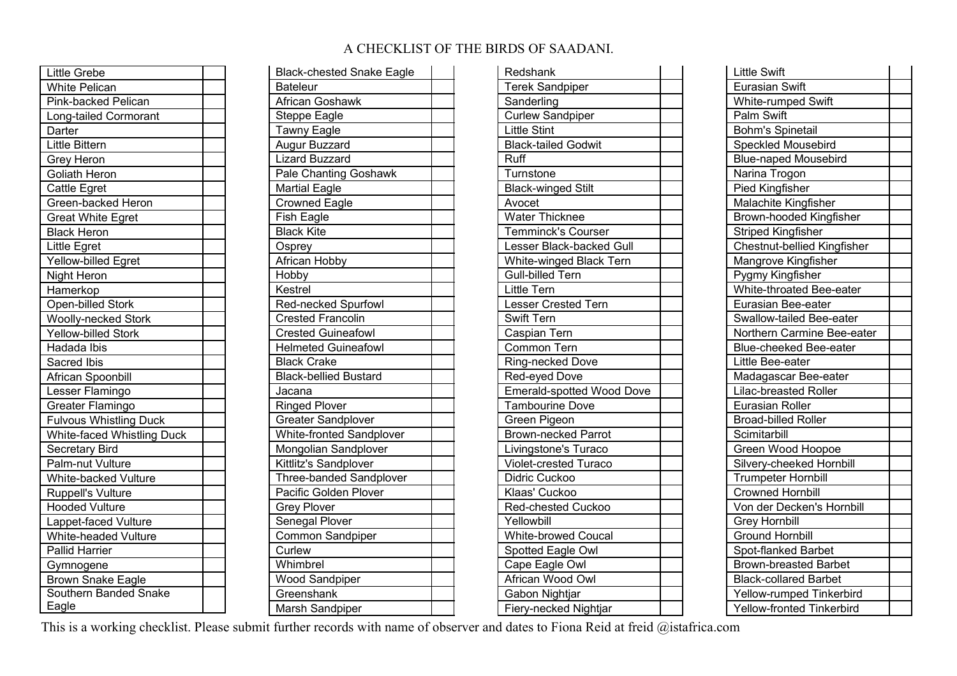## A CHECKLIST OF THE BIRDS OF SAADANI.

| Little Grebe                  |
|-------------------------------|
| <b>White Pelican</b>          |
| Pink-backed Pelican           |
| Long-tailed Cormorant         |
| Darter                        |
| Little Bittern                |
| Grey Heron                    |
| Goliath Heron                 |
| Cattle Egret                  |
| Green-backed Heron            |
| <b>Great White Egret</b>      |
| <b>Black Heron</b>            |
| <b>Little Egret</b>           |
| Yellow-billed Egret           |
| Night Heron                   |
| Hamerkop                      |
| <b>Open-billed Stork</b>      |
| <b>Woolly-necked Stork</b>    |
| <b>Yellow-billed Stork</b>    |
| <b>Hadada Ibis</b>            |
| Sacred Ibis                   |
| <b>African Spoonbill</b>      |
| Lesser Flamingo               |
| Greater Flamingo              |
| <b>Fulvous Whistling Duck</b> |
| White-faced Whistling Duck    |
| Secretary Bird                |
| Palm-nut Vulture              |
| White-backed Vulture          |
| Ruppell's Vulture             |
| <b>Hooded Vulture</b>         |
| Lappet-faced Vulture          |
| White-headed Vulture          |
| <b>Pallid Harrier</b>         |
| Gymnogene                     |
| <b>Brown Snake Eagle</b>      |
| Southern Banded Snake         |
| Eagle                         |

| <b>Black-chested Snake Eagle</b> |  |
|----------------------------------|--|
| <b>Bateleur</b>                  |  |
| <b>African Goshawk</b>           |  |
| <b>Steppe Eagle</b>              |  |
| Tawny Eagle                      |  |
| <b>Augur Buzzard</b>             |  |
| <b>Lizard Buzzard</b>            |  |
| Pale Chanting Goshawk            |  |
| <b>Martial Eagle</b>             |  |
| <b>Crowned Eagle</b>             |  |
| <b>Fish Eagle</b>                |  |
| <b>Black Kite</b>                |  |
| Osprey                           |  |
| African Hobby                    |  |
| Hobby                            |  |
| Kestrel                          |  |
| Red-necked Spurfowl              |  |
| <b>Crested Francolin</b>         |  |
| <b>Crested Guineafowl</b>        |  |
| <b>Helmeted Guineafowl</b>       |  |
| <b>Black Crake</b>               |  |
| Black-bellied Bustard            |  |
| Jacana                           |  |
| <b>Ringed Plover</b>             |  |
| <b>Greater Sandplover</b>        |  |
| White-fronted Sandplover         |  |
| Mongolian Sandplover             |  |
| Kittlitz's Sandplover            |  |
| Three-banded Sandplover          |  |
| Pacific Golden Plover            |  |
| <b>Grey Plover</b>               |  |
| Senegal Plover                   |  |
| Common Sandpiper                 |  |
| Curlew                           |  |
| Whimbrel                         |  |
| Wood Sandpiper                   |  |
| Greenshank                       |  |
| Marsh Sandpiper                  |  |

| Redshank                   |  |
|----------------------------|--|
| <b>Terek Sandpiper</b>     |  |
| Sanderling                 |  |
| <b>Curlew Sandpiper</b>    |  |
| Little Stint               |  |
| <b>Black-tailed Godwit</b> |  |
| Ruff                       |  |
| Turnstone                  |  |
| <b>Black-winged Stilt</b>  |  |
| Avocet                     |  |
| Water Thicknee             |  |
| Temminck's Courser         |  |
| Lesser Black-backed Gull   |  |
| White-winged Black Tern    |  |
| <b>Gull-billed Tern</b>    |  |
| <b>Little Tern</b>         |  |
| Lesser Crested Tern        |  |
| Swift Tern                 |  |
| Caspian Tern               |  |
| <b>Common Tern</b>         |  |
| Ring-necked Dove           |  |
| Red-eyed Dove              |  |
| Emerald-spotted Wood Dove  |  |
| <b>Tambourine Dove</b>     |  |
| Green Pigeon               |  |
| Brown-necked Parrot        |  |
| Livingstone's Turaco       |  |
| Violet-crested Turaco      |  |
| Didric Cuckoo              |  |
| Klaas' Cuckoo              |  |
| Red-chested Cuckoo         |  |
| Yellowbill                 |  |
| <b>White-browed Coucal</b> |  |
| Spotted Eagle Owl          |  |
| Cape Eagle Owl             |  |
| African Wood Owl           |  |
| Gabon Nightjar             |  |
| Fiery-necked Nightjar      |  |

| <b>Little Swift</b>                                                 |
|---------------------------------------------------------------------|
| Eurasian Swift                                                      |
| White-rumped Swift                                                  |
| Palm Swift                                                          |
| <b>Bohm's Spinetail</b>                                             |
| Speckled Mousebird                                                  |
| <b>Blue-naped Mousebird</b>                                         |
| Narina Trogon                                                       |
| <b>Pied Kingfisher</b>                                              |
| Malachite Kingfisher                                                |
| Brown-hooded Kingfisher                                             |
| <b>Striped Kingfisher</b>                                           |
| Chestnut-bellied Kingfisher                                         |
| Mangrove Kingfisher                                                 |
| Pygmy Kingfisher                                                    |
| White-throated Bee-eater                                            |
| Eurasian Bee-eater                                                  |
| Swallow-tailed Bee-eater                                            |
| Northern Carmine Bee-eater                                          |
|                                                                     |
| <b>Blue-cheeked Bee-eater</b>                                       |
| Little Bee-eater                                                    |
| Madagascar Bee-eater                                                |
| <b>Lilac-breasted Roller</b>                                        |
| Eurasian Roller                                                     |
| Broad-billed Roller                                                 |
| Scimitarbill                                                        |
| Green Wood Hoopoe                                                   |
| Silvery-cheeked Hornbill                                            |
| <b>Trumpeter Hornbill</b>                                           |
| <b>Crowned Hornbill</b>                                             |
| Von der Decken's Hornbill                                           |
| <b>Grey Hornbill</b>                                                |
| Ground Hornbill                                                     |
| Spot-flanked Barbet                                                 |
| <b>Brown-breasted Barbet</b>                                        |
| <b>Black-collared Barbet</b>                                        |
| <b>Yellow-rumped Tinkerbird</b><br><b>Yellow-fronted Tinkerbird</b> |

This is a working checklist. Please submit further records with name of observer and dates to Fiona Reid at freid @istafrica.com